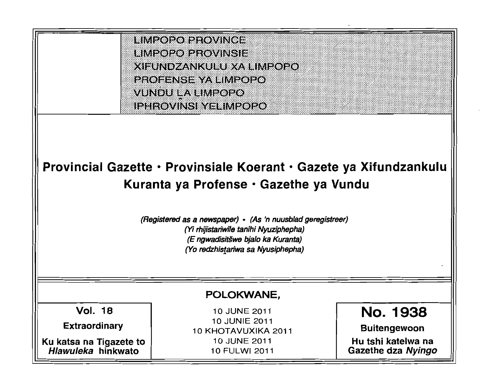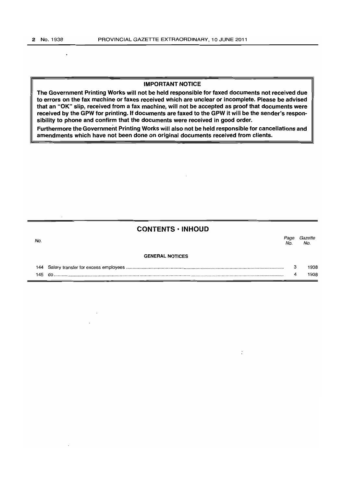#### IMPORTANT NOTICE

The Government Printing Works will not be held responsible for faxed documents not received due to errors on the fax machine or faxes received which are unclear or incomplete. Please be advised that an "OK" slip, received from a fax machine, will not be accepted as proof that documents were received by the GPW for printing. If documents are faxed to the GPW it will be the sender's responsibility to phone and confirm that the documents were received in good order.

Furthermore the Government Printing Works will also not be held responsible for cancellations and amendments which have not been done on original documents received from clients.

## CONTENTS ·INHOUD

No. Page Gazette GENERAL NOTICES 144 Salary transfer for excess employees ......................................................................................................................... .. 145 do .................................................................................................................................................................................. . No. No. 3 4 1938 1938

 $\dot{\cdot}$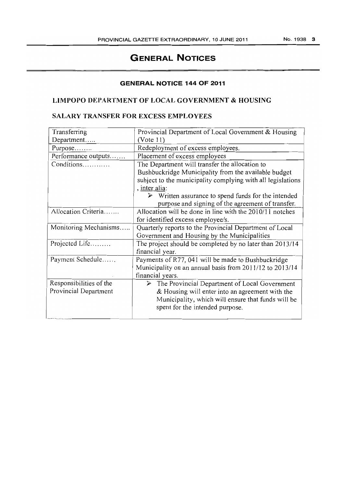# **GENERAL NOTICES**

#### **GENERAL NOTICE 144 OF 2011**

## LIMPOPO DEPARTMENT OF LOCAL GOVERNMENT & HOUSING

# SALARY TRANSFER FOR EXCESS EMPLOYEES

| Transferring            | Provincial Department of Local Government & Housing                    |  |  |  |  |  |  |
|-------------------------|------------------------------------------------------------------------|--|--|--|--|--|--|
| Department              | (Note 11)                                                              |  |  |  |  |  |  |
| Purpose                 | Redeployment of excess employees.                                      |  |  |  |  |  |  |
| Performance outputs     | Placement of excess employees                                          |  |  |  |  |  |  |
| Conditions              | The Department will transfer the allocation to                         |  |  |  |  |  |  |
|                         | Bushbuckridge Municipality from the available budget                   |  |  |  |  |  |  |
|                         | subject to the municipality complying with all legislations            |  |  |  |  |  |  |
|                         | , inter alia:                                                          |  |  |  |  |  |  |
|                         | $\triangleright$ Written assurance to spend funds for the intended     |  |  |  |  |  |  |
|                         | purpose and signing of the agreement of transfer.                      |  |  |  |  |  |  |
| Allocation Criteria     | Allocation will be done in line with the 2010/11 notches               |  |  |  |  |  |  |
|                         | for identified excess employee/s.                                      |  |  |  |  |  |  |
| Monitoring Mechanisms   | Quarterly reports to the Provincial Department of Local                |  |  |  |  |  |  |
|                         | Government and Housing by the Municipalities                           |  |  |  |  |  |  |
| Projected Life          | The project should be completed by no later than 2013/14               |  |  |  |  |  |  |
|                         | financial year.                                                        |  |  |  |  |  |  |
| Payment Schedule        | Payments of R77, 041 will be made to Bushbuckridge                     |  |  |  |  |  |  |
|                         | Municipality on an annual basis from 2011/12 to 2013/14                |  |  |  |  |  |  |
|                         | financial years.                                                       |  |  |  |  |  |  |
| Responsibilities of the | The Provincial Department of Local Government<br>$\blacktriangleright$ |  |  |  |  |  |  |
| Provincial Department   | & Housing will enter into an agreement with the                        |  |  |  |  |  |  |
|                         | Municipality, which will ensure that funds will be                     |  |  |  |  |  |  |
|                         |                                                                        |  |  |  |  |  |  |
|                         | spent for the intended purpose.                                        |  |  |  |  |  |  |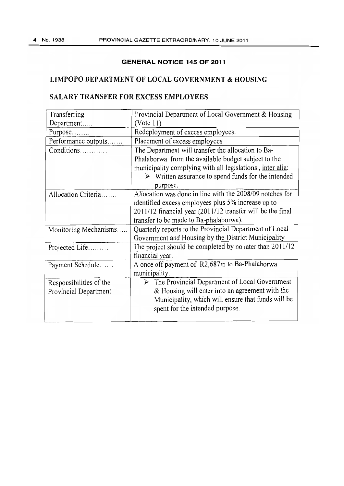## **GENERAL NOTICE 145 OF 2011**

# **LIMPOPO DEPARTMENT OF LOCAL GOVERNMENT & HOUSING**

# **SALARY TRANSFER FOR EXCESS EMPLOYEES**

| Transferring            | Provincial Department of Local Government & Housing                |  |  |  |  |  |  |
|-------------------------|--------------------------------------------------------------------|--|--|--|--|--|--|
| Department              | (Note 11)                                                          |  |  |  |  |  |  |
| Purpose                 | Redeployment of excess employees.                                  |  |  |  |  |  |  |
| Performance outputs     | Placement of excess employees                                      |  |  |  |  |  |  |
| Conditions              | The Department will transfer the allocation to Ba-                 |  |  |  |  |  |  |
|                         | Phalaborwa from the available budget subject to the                |  |  |  |  |  |  |
|                         | municipality complying with all legislations, inter alia:          |  |  |  |  |  |  |
|                         | $\triangleright$ Written assurance to spend funds for the intended |  |  |  |  |  |  |
|                         | purpose.                                                           |  |  |  |  |  |  |
| Allocation Criteria     | Allocation was done in line with the 2008/09 notches for           |  |  |  |  |  |  |
|                         | identified excess employees plus 5% increase up to                 |  |  |  |  |  |  |
|                         | 2011/12 financial year (2011/12 transfer will be the final         |  |  |  |  |  |  |
|                         | transfer to be made to Ba-phalaborwa).                             |  |  |  |  |  |  |
| Monitoring Mechanisms   | Quarterly reports to the Provincial Department of Local            |  |  |  |  |  |  |
|                         | Government and Housing by the District Municipality                |  |  |  |  |  |  |
| Projected Life          | The project should be completed by no later than 2011/12           |  |  |  |  |  |  |
|                         | financial year.                                                    |  |  |  |  |  |  |
| Payment Schedule        | A once off payment of R2,687m to Ba-Phalaborwa                     |  |  |  |  |  |  |
|                         | municipality.                                                      |  |  |  |  |  |  |
| Responsibilities of the | $\triangleright$ The Provincial Department of Local Government     |  |  |  |  |  |  |
| Provincial Department   | & Housing will enter into an agreement with the                    |  |  |  |  |  |  |
|                         | Municipality, which will ensure that funds will be                 |  |  |  |  |  |  |
|                         | spent for the intended purpose.                                    |  |  |  |  |  |  |
|                         |                                                                    |  |  |  |  |  |  |